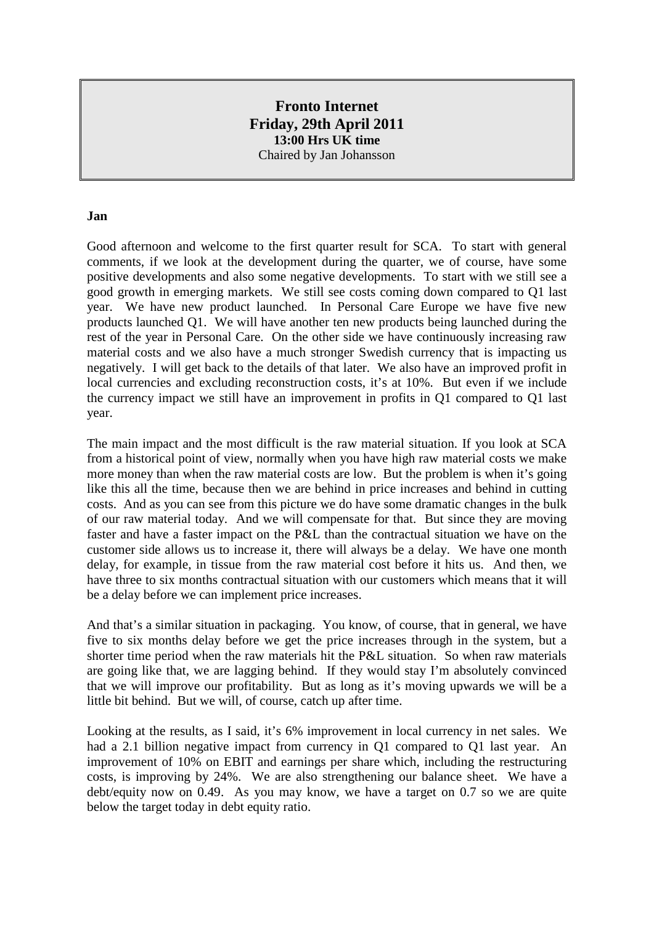# **Fronto Internet Friday, 29th April 2011 13:00 Hrs UK time** Chaired by Jan Johansson

#### **Jan**

Good afternoon and welcome to the first quarter result for SCA. To start with general comments, if we look at the development during the quarter, we of course, have some positive developments and also some negative developments. To start with we still see a good growth in emerging markets. We still see costs coming down compared to Q1 last year. We have new product launched. In Personal Care Europe we have five new products launched Q1. We will have another ten new products being launched during the rest of the year in Personal Care. On the other side we have continuously increasing raw material costs and we also have a much stronger Swedish currency that is impacting us negatively. I will get back to the details of that later. We also have an improved profit in local currencies and excluding reconstruction costs, it's at 10%. But even if we include the currency impact we still have an improvement in profits in Q1 compared to Q1 last year.

The main impact and the most difficult is the raw material situation. If you look at SCA from a historical point of view, normally when you have high raw material costs we make more money than when the raw material costs are low. But the problem is when it's going like this all the time, because then we are behind in price increases and behind in cutting costs. And as you can see from this picture we do have some dramatic changes in the bulk of our raw material today. And we will compensate for that. But since they are moving faster and have a faster impact on the P&L than the contractual situation we have on the customer side allows us to increase it, there will always be a delay. We have one month delay, for example, in tissue from the raw material cost before it hits us. And then, we have three to six months contractual situation with our customers which means that it will be a delay before we can implement price increases.

And that's a similar situation in packaging. You know, of course, that in general, we have five to six months delay before we get the price increases through in the system, but a shorter time period when the raw materials hit the P&L situation. So when raw materials are going like that, we are lagging behind. If they would stay I'm absolutely convinced that we will improve our profitability. But as long as it's moving upwards we will be a little bit behind. But we will, of course, catch up after time.

Looking at the results, as I said, it's 6% improvement in local currency in net sales. We had a 2.1 billion negative impact from currency in Q1 compared to Q1 last year. An improvement of 10% on EBIT and earnings per share which, including the restructuring costs, is improving by 24%. We are also strengthening our balance sheet. We have a debt/equity now on 0.49. As you may know, we have a target on 0.7 so we are quite below the target today in debt equity ratio.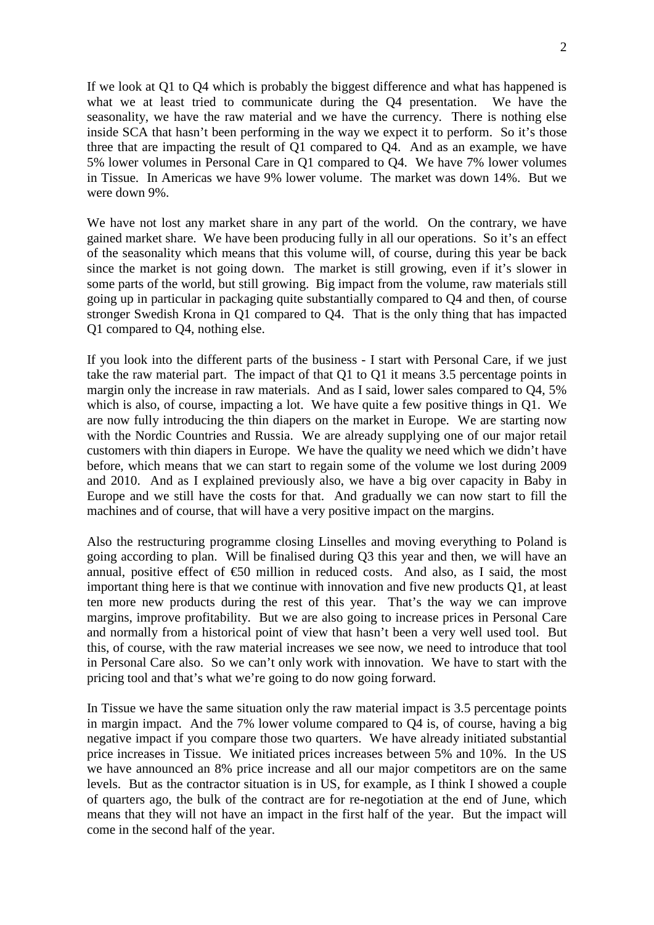$\mathcal{L}$ 

If we look at Q1 to Q4 which is probably the biggest difference and what has happened is what we at least tried to communicate during the Q4 presentation. We have the seasonality, we have the raw material and we have the currency. There is nothing else inside SCA that hasn't been performing in the way we expect it to perform. So it's those three that are impacting the result of Q1 compared to Q4. And as an example, we have 5% lower volumes in Personal Care in Q1 compared to Q4. We have 7% lower volumes in Tissue. In Americas we have 9% lower volume. The market was down 14%. But we were down 9%.

We have not lost any market share in any part of the world. On the contrary, we have gained market share. We have been producing fully in all our operations. So it's an effect of the seasonality which means that this volume will, of course, during this year be back since the market is not going down. The market is still growing, even if it's slower in some parts of the world, but still growing. Big impact from the volume, raw materials still going up in particular in packaging quite substantially compared to Q4 and then, of course stronger Swedish Krona in Q1 compared to Q4. That is the only thing that has impacted Q1 compared to Q4, nothing else.

If you look into the different parts of the business - I start with Personal Care, if we just take the raw material part. The impact of that Q1 to Q1 it means 3.5 percentage points in margin only the increase in raw materials. And as I said, lower sales compared to Q4, 5% which is also, of course, impacting a lot. We have quite a few positive things in Q1. We are now fully introducing the thin diapers on the market in Europe. We are starting now with the Nordic Countries and Russia. We are already supplying one of our major retail customers with thin diapers in Europe. We have the quality we need which we didn't have before, which means that we can start to regain some of the volume we lost during 2009 and 2010. And as I explained previously also, we have a big over capacity in Baby in Europe and we still have the costs for that. And gradually we can now start to fill the machines and of course, that will have a very positive impact on the margins.

Also the restructuring programme closing Linselles and moving everything to Poland is going according to plan. Will be finalised during Q3 this year and then, we will have an annual, positive effect of  $\epsilon$ 50 million in reduced costs. And also, as I said, the most important thing here is that we continue with innovation and five new products Q1, at least ten more new products during the rest of this year. That's the way we can improve margins, improve profitability. But we are also going to increase prices in Personal Care and normally from a historical point of view that hasn't been a very well used tool. But this, of course, with the raw material increases we see now, we need to introduce that tool in Personal Care also. So we can't only work with innovation. We have to start with the pricing tool and that's what we're going to do now going forward.

In Tissue we have the same situation only the raw material impact is 3.5 percentage points in margin impact. And the 7% lower volume compared to Q4 is, of course, having a big negative impact if you compare those two quarters. We have already initiated substantial price increases in Tissue. We initiated prices increases between 5% and 10%. In the US we have announced an 8% price increase and all our major competitors are on the same levels. But as the contractor situation is in US, for example, as I think I showed a couple of quarters ago, the bulk of the contract are for re-negotiation at the end of June, which means that they will not have an impact in the first half of the year. But the impact will come in the second half of the year.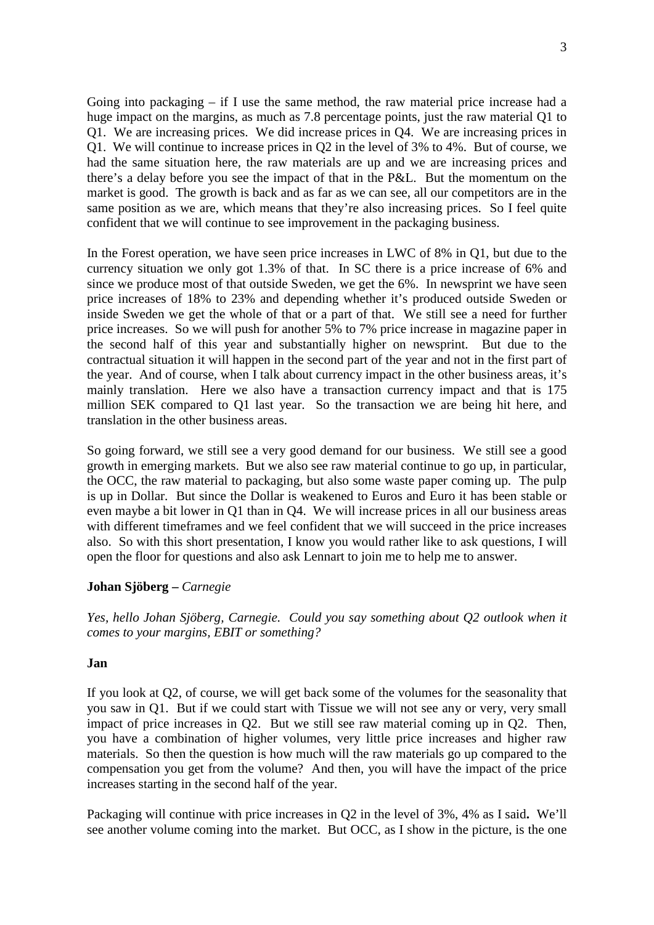Going into packaging – if I use the same method, the raw material price increase had a huge impact on the margins, as much as 7.8 percentage points, just the raw material Q1 to Q1. We are increasing prices. We did increase prices in Q4. We are increasing prices in Q1. We will continue to increase prices in Q2 in the level of 3% to 4%. But of course, we had the same situation here, the raw materials are up and we are increasing prices and there's a delay before you see the impact of that in the P&L. But the momentum on the market is good. The growth is back and as far as we can see, all our competitors are in the same position as we are, which means that they're also increasing prices. So I feel quite confident that we will continue to see improvement in the packaging business.

In the Forest operation, we have seen price increases in LWC of 8% in Q1, but due to the currency situation we only got 1.3% of that. In SC there is a price increase of 6% and since we produce most of that outside Sweden, we get the 6%. In newsprint we have seen price increases of 18% to 23% and depending whether it's produced outside Sweden or inside Sweden we get the whole of that or a part of that. We still see a need for further price increases. So we will push for another 5% to 7% price increase in magazine paper in the second half of this year and substantially higher on newsprint. But due to the contractual situation it will happen in the second part of the year and not in the first part of the year. And of course, when I talk about currency impact in the other business areas, it's mainly translation. Here we also have a transaction currency impact and that is 175 million SEK compared to Q1 last year. So the transaction we are being hit here, and translation in the other business areas.

So going forward, we still see a very good demand for our business. We still see a good growth in emerging markets. But we also see raw material continue to go up, in particular, the OCC, the raw material to packaging, but also some waste paper coming up. The pulp is up in Dollar. But since the Dollar is weakened to Euros and Euro it has been stable or even maybe a bit lower in Q1 than in Q4. We will increase prices in all our business areas with different timeframes and we feel confident that we will succeed in the price increases also. So with this short presentation, I know you would rather like to ask questions, I will open the floor for questions and also ask Lennart to join me to help me to answer.

## **Johan Sjöberg –** *Carnegie*

*Yes, hello Johan Sjöberg, Carnegie. Could you say something about Q2 outlook when it comes to your margins, EBIT or something?*

## **Jan**

If you look at Q2, of course, we will get back some of the volumes for the seasonality that you saw in Q1. But if we could start with Tissue we will not see any or very, very small impact of price increases in Q2. But we still see raw material coming up in Q2. Then, you have a combination of higher volumes, very little price increases and higher raw materials. So then the question is how much will the raw materials go up compared to the compensation you get from the volume? And then, you will have the impact of the price increases starting in the second half of the year.

Packaging will continue with price increases in Q2 in the level of 3%, 4% as I said**.** We'll see another volume coming into the market. But OCC, as I show in the picture, is the one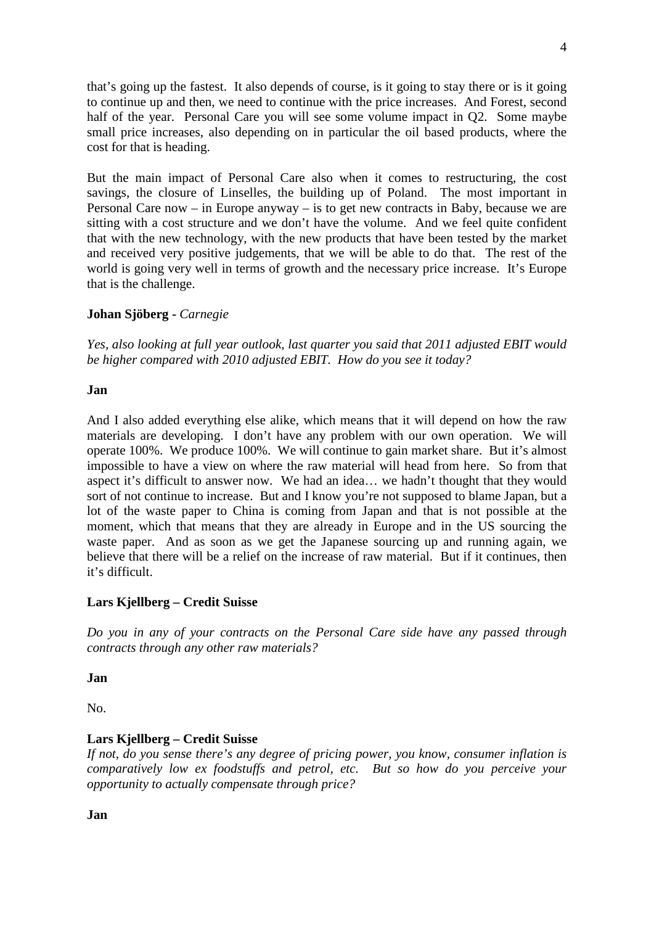that's going up the fastest. It also depends of course, is it going to stay there or is it going to continue up and then, we need to continue with the price increases. And Forest, second half of the year. Personal Care you will see some volume impact in Q2. Some maybe small price increases, also depending on in particular the oil based products, where the cost for that is heading.

But the main impact of Personal Care also when it comes to restructuring, the cost savings, the closure of Linselles, the building up of Poland. The most important in Personal Care now – in Europe anyway – is to get new contracts in Baby, because we are sitting with a cost structure and we don't have the volume. And we feel quite confident that with the new technology, with the new products that have been tested by the market and received very positive judgements, that we will be able to do that. The rest of the world is going very well in terms of growth and the necessary price increase. It's Europe that is the challenge.

# **Johan Sjöberg -** *Carnegie*

*Yes, also looking at full year outlook, last quarter you said that 2011 adjusted EBIT would be higher compared with 2010 adjusted EBIT. How do you see it today?*

## **Jan**

And I also added everything else alike, which means that it will depend on how the raw materials are developing. I don't have any problem with our own operation. We will operate 100%. We produce 100%. We will continue to gain market share. But it's almost impossible to have a view on where the raw material will head from here. So from that aspect it's difficult to answer now. We had an idea… we hadn't thought that they would sort of not continue to increase. But and I know you're not supposed to blame Japan, but a lot of the waste paper to China is coming from Japan and that is not possible at the moment, which that means that they are already in Europe and in the US sourcing the waste paper. And as soon as we get the Japanese sourcing up and running again, we believe that there will be a relief on the increase of raw material. But if it continues, then it's difficult.

# **Lars Kjellberg – Credit Suisse**

*Do you in any of your contracts on the Personal Care side have any passed through contracts through any other raw materials?*

## **Jan**

No.

# **Lars Kjellberg – Credit Suisse**

*If not, do you sense there's any degree of pricing power, you know, consumer inflation is comparatively low ex foodstuffs and petrol, etc. But so how do you perceive your opportunity to actually compensate through price?*

**Jan**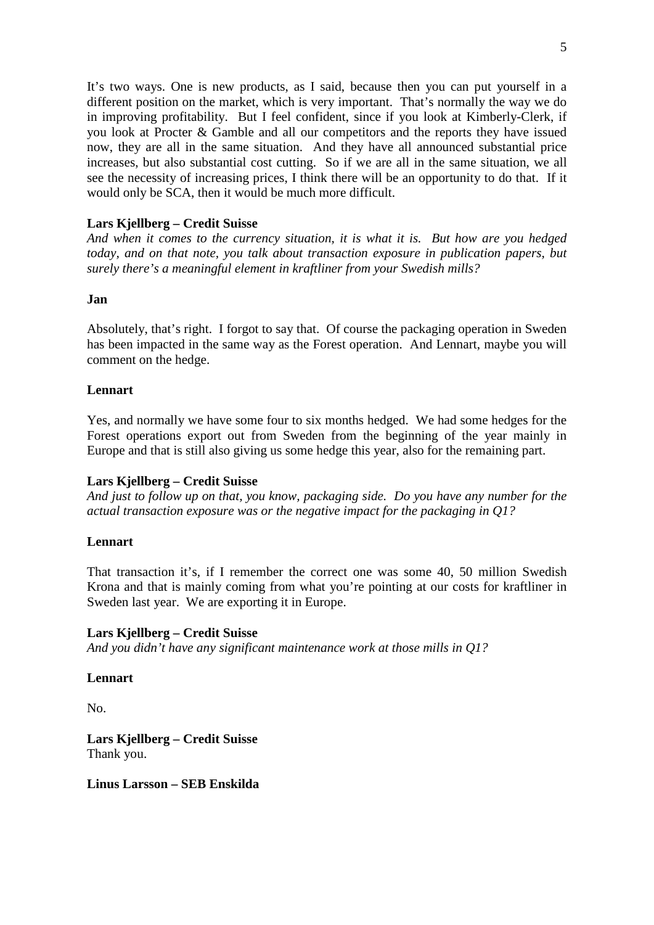It's two ways. One is new products, as I said, because then you can put yourself in a different position on the market, which is very important. That's normally the way we do in improving profitability. But I feel confident, since if you look at Kimberly-Clerk, if you look at Procter & Gamble and all our competitors and the reports they have issued now, they are all in the same situation. And they have all announced substantial price increases, but also substantial cost cutting. So if we are all in the same situation, we all see the necessity of increasing prices, I think there will be an opportunity to do that. If it would only be SCA, then it would be much more difficult.

# **Lars Kjellberg – Credit Suisse**

*And when it comes to the currency situation, it is what it is. But how are you hedged today, and on that note, you talk about transaction exposure in publication papers, but surely there's a meaningful element in kraftliner from your Swedish mills?*

# **Jan**

Absolutely, that's right. I forgot to say that. Of course the packaging operation in Sweden has been impacted in the same way as the Forest operation. And Lennart, maybe you will comment on the hedge.

# **Lennart**

Yes, and normally we have some four to six months hedged. We had some hedges for the Forest operations export out from Sweden from the beginning of the year mainly in Europe and that is still also giving us some hedge this year, also for the remaining part.

# **Lars Kjellberg – Credit Suisse**

*And just to follow up on that, you know, packaging side. Do you have any number for the actual transaction exposure was or the negative impact for the packaging in Q1?*

# **Lennart**

That transaction it's, if I remember the correct one was some 40, 50 million Swedish Krona and that is mainly coming from what you're pointing at our costs for kraftliner in Sweden last year. We are exporting it in Europe.

# **Lars Kjellberg – Credit Suisse**

*And you didn't have any significant maintenance work at those mills in Q1?*

# **Lennart**

No.

**Lars Kjellberg – Credit Suisse** Thank you.

**Linus Larsson – SEB Enskilda**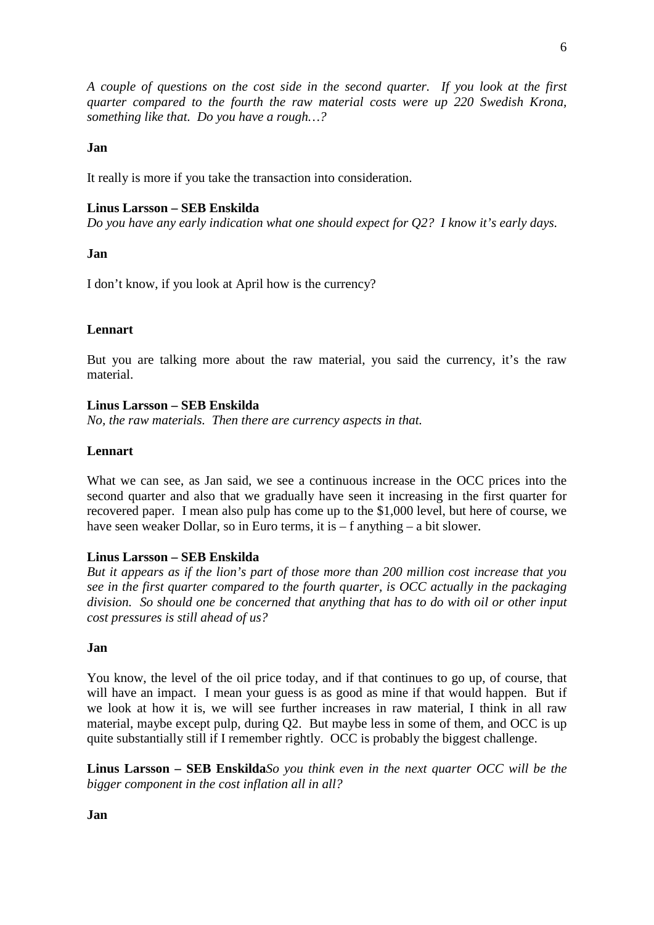*A couple of questions on the cost side in the second quarter. If you look at the first quarter compared to the fourth the raw material costs were up 220 Swedish Krona, something like that. Do you have a rough…?*

#### **Jan**

It really is more if you take the transaction into consideration.

#### **Linus Larsson – SEB Enskilda**

*Do you have any early indication what one should expect for Q2? I know it's early days.*

#### **Jan**

I don't know, if you look at April how is the currency?

#### **Lennart**

But you are talking more about the raw material, you said the currency, it's the raw material.

#### **Linus Larsson – SEB Enskilda**

*No, the raw materials. Then there are currency aspects in that.*

### **Lennart**

What we can see, as Jan said, we see a continuous increase in the OCC prices into the second quarter and also that we gradually have seen it increasing in the first quarter for recovered paper. I mean also pulp has come up to the \$1,000 level, but here of course, we have seen weaker Dollar, so in Euro terms, it is – f anything – a bit slower.

#### **Linus Larsson – SEB Enskilda**

*But it appears as if the lion's part of those more than 200 million cost increase that you see in the first quarter compared to the fourth quarter, is OCC actually in the packaging division. So should one be concerned that anything that has to do with oil or other input cost pressures is still ahead of us?*

#### **Jan**

You know, the level of the oil price today, and if that continues to go up, of course, that will have an impact. I mean your guess is as good as mine if that would happen. But if we look at how it is, we will see further increases in raw material, I think in all raw material, maybe except pulp, during Q2. But maybe less in some of them, and OCC is up quite substantially still if I remember rightly. OCC is probably the biggest challenge.

**Linus Larsson – SEB Enskilda***So you think even in the next quarter OCC will be the bigger component in the cost inflation all in all?*

**Jan**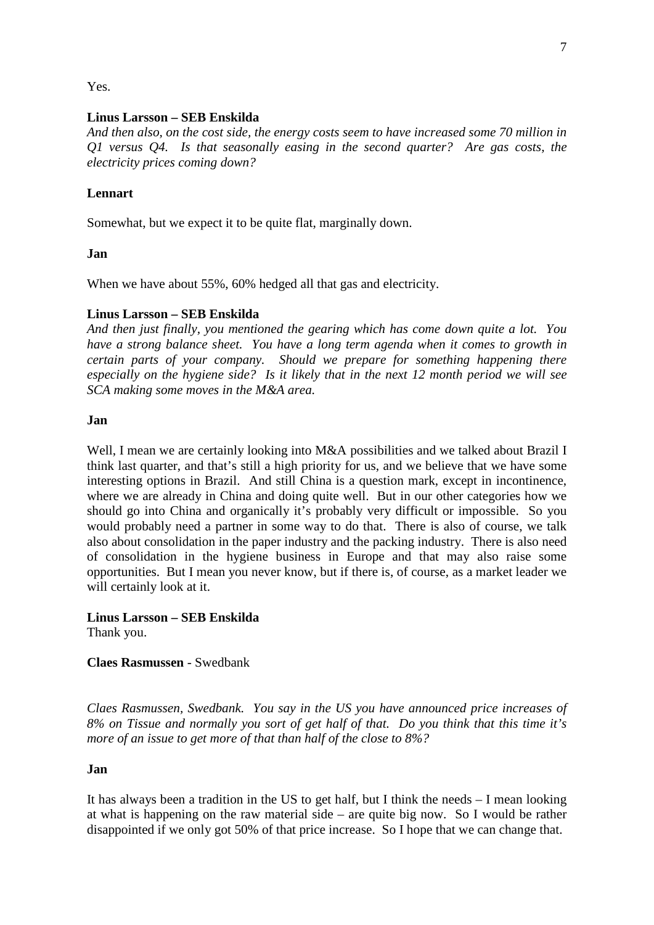Yes.

## **Linus Larsson – SEB Enskilda**

*And then also, on the cost side, the energy costs seem to have increased some 70 million in Q1 versus Q4. Is that seasonally easing in the second quarter? Are gas costs, the electricity prices coming down?*

## **Lennart**

Somewhat, but we expect it to be quite flat, marginally down.

## **Jan**

When we have about 55%, 60% hedged all that gas and electricity.

## **Linus Larsson – SEB Enskilda**

*And then just finally, you mentioned the gearing which has come down quite a lot. You have a strong balance sheet. You have a long term agenda when it comes to growth in certain parts of your company. Should we prepare for something happening there especially on the hygiene side? Is it likely that in the next 12 month period we will see SCA making some moves in the M&A area.*

#### **Jan**

Well, I mean we are certainly looking into M&A possibilities and we talked about Brazil I think last quarter, and that's still a high priority for us, and we believe that we have some interesting options in Brazil. And still China is a question mark, except in incontinence, where we are already in China and doing quite well. But in our other categories how we should go into China and organically it's probably very difficult or impossible. So you would probably need a partner in some way to do that. There is also of course, we talk also about consolidation in the paper industry and the packing industry. There is also need of consolidation in the hygiene business in Europe and that may also raise some opportunities. But I mean you never know, but if there is, of course, as a market leader we will certainly look at it.

**Linus Larsson – SEB Enskilda** Thank you.

## **Claes Rasmussen** - Swedbank

*Claes Rasmussen, Swedbank. You say in the US you have announced price increases of 8% on Tissue and normally you sort of get half of that. Do you think that this time it's more of an issue to get more of that than half of the close to 8%?*

## **Jan**

It has always been a tradition in the US to get half, but I think the needs – I mean looking at what is happening on the raw material side – are quite big now. So I would be rather disappointed if we only got 50% of that price increase. So I hope that we can change that.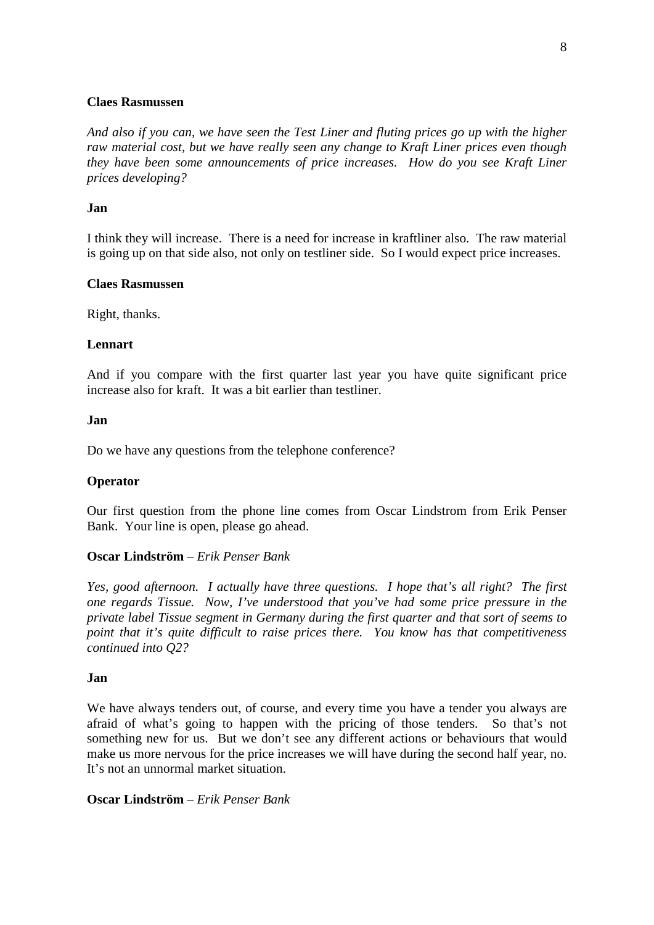#### **Claes Rasmussen**

*And also if you can, we have seen the Test Liner and fluting prices go up with the higher raw material cost, but we have really seen any change to Kraft Liner prices even though they have been some announcements of price increases. How do you see Kraft Liner prices developing?*

#### **Jan**

I think they will increase. There is a need for increase in kraftliner also. The raw material is going up on that side also, not only on testliner side. So I would expect price increases.

#### **Claes Rasmussen**

Right, thanks.

#### **Lennart**

And if you compare with the first quarter last year you have quite significant price increase also for kraft. It was a bit earlier than testliner.

#### **Jan**

Do we have any questions from the telephone conference?

#### **Operator**

Our first question from the phone line comes from Oscar Lindstrom from Erik Penser Bank. Your line is open, please go ahead.

#### **Oscar Lindström** – *Erik Penser Bank*

*Yes, good afternoon. I actually have three questions. I hope that's all right? The first one regards Tissue. Now, I've understood that you've had some price pressure in the private label Tissue segment in Germany during the first quarter and that sort of seems to point that it's quite difficult to raise prices there. You know has that competitiveness continued into Q2?*

#### **Jan**

We have always tenders out, of course, and every time you have a tender you always are afraid of what's going to happen with the pricing of those tenders. So that's not something new for us. But we don't see any different actions or behaviours that would make us more nervous for the price increases we will have during the second half year, no. It's not an unnormal market situation.

### **Oscar Lindström** – *Erik Penser Bank*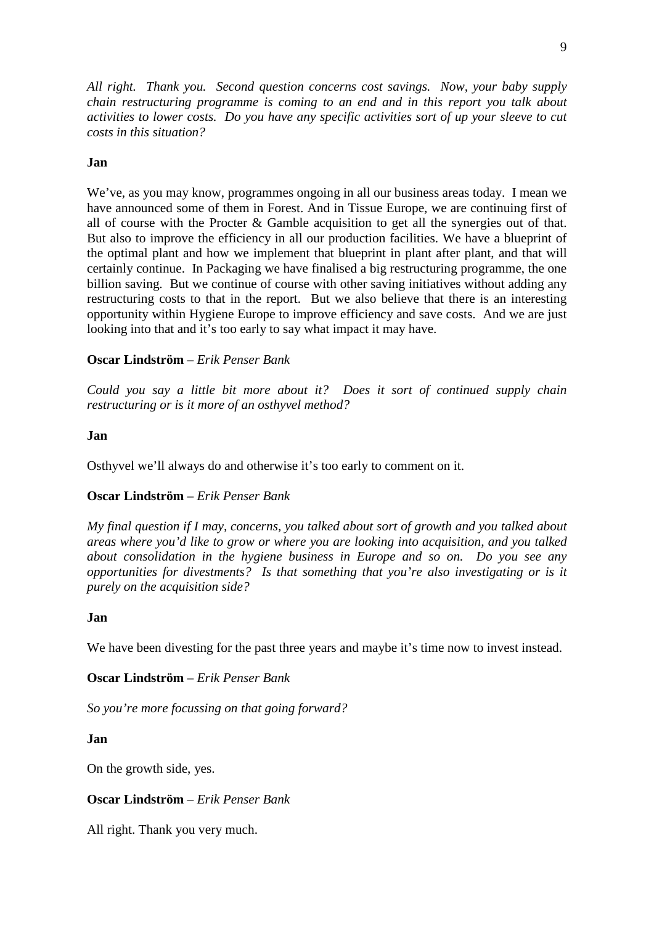*All right. Thank you. Second question concerns cost savings. Now, your baby supply chain restructuring programme is coming to an end and in this report you talk about activities to lower costs. Do you have any specific activities sort of up your sleeve to cut costs in this situation?*

## **Jan**

We've, as you may know, programmes ongoing in all our business areas today. I mean we have announced some of them in Forest. And in Tissue Europe, we are continuing first of all of course with the Procter & Gamble acquisition to get all the synergies out of that. But also to improve the efficiency in all our production facilities. We have a blueprint of the optimal plant and how we implement that blueprint in plant after plant, and that will certainly continue. In Packaging we have finalised a big restructuring programme, the one billion saving. But we continue of course with other saving initiatives without adding any restructuring costs to that in the report. But we also believe that there is an interesting opportunity within Hygiene Europe to improve efficiency and save costs. And we are just looking into that and it's too early to say what impact it may have.

## **Oscar Lindström** – *Erik Penser Bank*

*Could you say a little bit more about it? Does it sort of continued supply chain restructuring or is it more of an osthyvel method?*

## **Jan**

Osthyvel we'll always do and otherwise it's too early to comment on it.

## **Oscar Lindström** – *Erik Penser Bank*

*My final question if I may, concerns, you talked about sort of growth and you talked about areas where you'd like to grow or where you are looking into acquisition, and you talked about consolidation in the hygiene business in Europe and so on. Do you see any opportunities for divestments? Is that something that you're also investigating or is it purely on the acquisition side?*

#### **Jan**

We have been divesting for the past three years and maybe it's time now to invest instead.

**Oscar Lindström** – *Erik Penser Bank*

*So you're more focussing on that going forward?*

## **Jan**

On the growth side, yes.

## **Oscar Lindström** – *Erik Penser Bank*

All right. Thank you very much.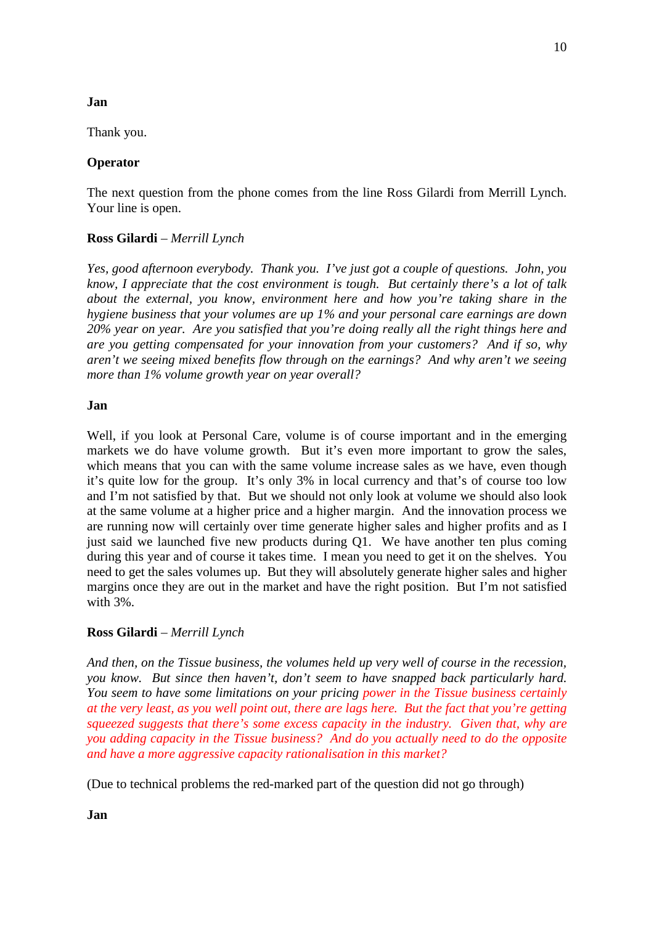### **Jan**

Thank you.

## **Operator**

The next question from the phone comes from the line Ross Gilardi from Merrill Lynch. Your line is open.

## **Ross Gilardi** – *Merrill Lynch*

*Yes, good afternoon everybody. Thank you. I've just got a couple of questions. John, you know, I appreciate that the cost environment is tough. But certainly there's a lot of talk about the external, you know, environment here and how you're taking share in the hygiene business that your volumes are up 1% and your personal care earnings are down 20% year on year. Are you satisfied that you're doing really all the right things here and are you getting compensated for your innovation from your customers? And if so, why aren't we seeing mixed benefits flow through on the earnings? And why aren't we seeing more than 1% volume growth year on year overall?*

## **Jan**

Well, if you look at Personal Care, volume is of course important and in the emerging markets we do have volume growth. But it's even more important to grow the sales, which means that you can with the same volume increase sales as we have, even though it's quite low for the group. It's only 3% in local currency and that's of course too low and I'm not satisfied by that. But we should not only look at volume we should also look at the same volume at a higher price and a higher margin. And the innovation process we are running now will certainly over time generate higher sales and higher profits and as I just said we launched five new products during Q1. We have another ten plus coming during this year and of course it takes time. I mean you need to get it on the shelves. You need to get the sales volumes up. But they will absolutely generate higher sales and higher margins once they are out in the market and have the right position. But I'm not satisfied with 3%.

## **Ross Gilardi** – *Merrill Lynch*

*And then, on the Tissue business, the volumes held up very well of course in the recession, you know. But since then haven't, don't seem to have snapped back particularly hard. You seem to have some limitations on your pricing power in the Tissue business certainly at the very least, as you well point out, there are lags here. But the fact that you're getting squeezed suggests that there's some excess capacity in the industry. Given that, why are you adding capacity in the Tissue business? And do you actually need to do the opposite and have a more aggressive capacity rationalisation in this market?*

(Due to technical problems the red-marked part of the question did not go through)

**Jan**